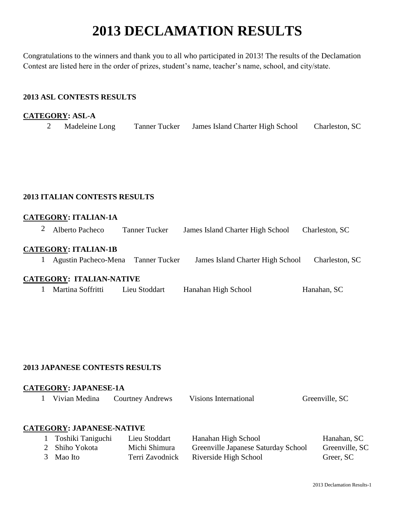# **2013 DECLAMATION RESULTS**

Congratulations to the winners and thank you to all who participated in 2013! The results of the Declamation Contest are listed here in the order of prizes, student's name, teacher's name, school, and city/state.

# **2013 ASL CONTESTS RESULTS**

# **CATEGORY: ASL-A**

| Madeleine Long | Tanner Tucker | James Island Charter High School | Charleston, SC |
|----------------|---------------|----------------------------------|----------------|
|----------------|---------------|----------------------------------|----------------|

## **2013 ITALIAN CONTESTS RESULTS**

## **CATEGORY: ITALIAN-1A**

|  | Alberto Pacheco | <b>Tanner Tucker</b> | James Island Charter High School | Charleston, SC |
|--|-----------------|----------------------|----------------------------------|----------------|
|--|-----------------|----------------------|----------------------------------|----------------|

## **CATEGORY: ITALIAN-1B**

1 Agustin Pacheco-Mena Tanner Tucker James Island Charter High School Charleston, SC

## **CATEGORY: ITALIAN-NATIVE**

1 Martina Soffritti Lieu Stoddart Hanahan High School Hanahan, SC

## **2013 JAPANESE CONTESTS RESULTS**

## **CATEGORY: JAPANESE-1A**

|  | 1 Vivian Medina | <b>Courtney Andrews</b> | Visions International | Greenville, SC |
|--|-----------------|-------------------------|-----------------------|----------------|
|--|-----------------|-------------------------|-----------------------|----------------|

#### **CATEGORY: JAPANESE-NATIVE**

| 1 Toshiki Taniguchi | Lieu Stoddart   | Hanahan High School                 | Hanahan, SC    |
|---------------------|-----------------|-------------------------------------|----------------|
| 2 Shiho Yokota      | Michi Shimura   | Greenville Japanese Saturday School | Greenville, SC |
| 3 Mao Ito           | Terri Zavodnick | Riverside High School               | Greer, SC      |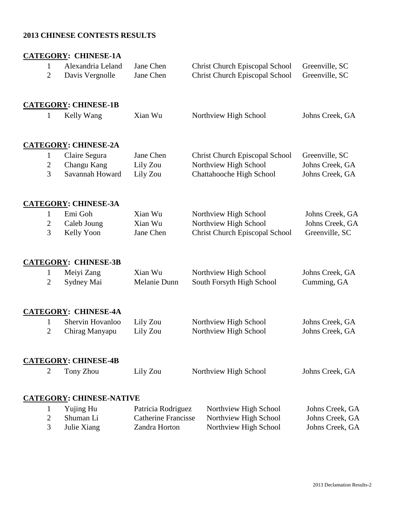# **2013 CHINESE CONTESTS RESULTS**

|                                | <b>CATEGORY: CHINESE-1A</b>          |                                             |                                                                                |                                    |
|--------------------------------|--------------------------------------|---------------------------------------------|--------------------------------------------------------------------------------|------------------------------------|
| $\mathbf{1}$<br>$\overline{2}$ | Alexandria Leland<br>Davis Vergnolle | Jane Chen<br>Jane Chen                      | <b>Christ Church Episcopal School</b><br><b>Christ Church Episcopal School</b> | Greenville, SC<br>Greenville, SC   |
|                                | <b>CATEGORY: CHINESE-1B</b>          |                                             |                                                                                |                                    |
| $\mathbf{1}$                   | Kelly Wang                           | Xian Wu                                     | Northview High School                                                          | Johns Creek, GA                    |
|                                | <b>CATEGORY: CHINESE-2A</b>          |                                             |                                                                                |                                    |
| $\mathbf{1}$                   | Claire Segura                        | Jane Chen                                   | <b>Christ Church Episcopal School</b>                                          | Greenville, SC                     |
| $\overline{2}$<br>3            | Changu Kang<br>Savannah Howard       | Lily Zou<br>Lily Zou                        | Northview High School<br>Chattahooche High School                              | Johns Creek, GA<br>Johns Creek, GA |
|                                | <b>CATEGORY: CHINESE-3A</b>          |                                             |                                                                                |                                    |
| $\mathbf{1}$                   | Emi Goh                              | Xian Wu                                     | Northview High School                                                          | Johns Creek, GA                    |
| 2<br>3                         | Caleb Joung<br>Kelly Yoon            | Xian Wu<br>Jane Chen                        | Northview High School<br><b>Christ Church Episcopal School</b>                 | Johns Creek, GA<br>Greenville, SC  |
|                                | <b>CATEGORY: CHINESE-3B</b>          |                                             |                                                                                |                                    |
| $\mathbf{1}$                   | Meiyi Zang                           | Xian Wu                                     | Northview High School                                                          | Johns Creek, GA                    |
| $\overline{2}$                 | Sydney Mai                           | Melanie Dunn                                | South Forsyth High School                                                      | Cumming, GA                        |
|                                | <b>CATEGORY: CHINESE-4A</b>          |                                             |                                                                                |                                    |
| 1                              | Shervin Hovanloo                     | Lily Zou                                    | Northview High School                                                          | Johns Creek, GA                    |
| 2                              | Chirag Manyapu                       | Lily Zou                                    | Northview High School                                                          | Johns Creek, GA                    |
|                                | <b>CATEGORY: CHINESE-4B</b>          |                                             |                                                                                |                                    |
| $\overline{2}$                 | Tony Zhou                            | Lily Zou                                    | Northview High School                                                          | Johns Creek, GA                    |
|                                | <b>CATEGORY: CHINESE-NATIVE</b>      |                                             |                                                                                |                                    |
| 1                              | Yujing Hu                            | Patricia Rodriguez                          | Northview High School                                                          | Johns Creek, GA                    |
| $\overline{2}$<br>3            | Shuman Li<br>Julie Xiang             | <b>Catherine Francisse</b><br>Zandra Horton | Northview High School<br>Northview High School                                 | Johns Creek, GA<br>Johns Creek, GA |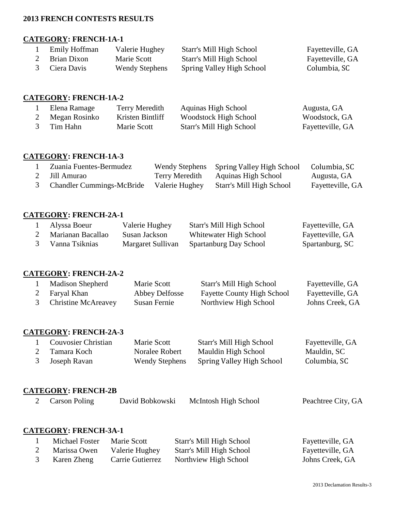## **2013 FRENCH CONTESTS RESULTS**

# **CATEGORY: FRENCH-1A-1**

| Emily Hoffman | Valerie Hughey        | Starr's Mill High School  | Fayetteville, GA |
|---------------|-----------------------|---------------------------|------------------|
| Brian Dixon   | Marie Scott           | Starr's Mill High School  | Fayetteville, GA |
| 3 Ciera Davis | <b>Wendy Stephens</b> | Spring Valley High School | Columbia, SC     |

## **CATEGORY: FRENCH-1A-2**

| Elena Ramage  | Terry Meredith   | Aquinas High School      | Augusta, GA      |
|---------------|------------------|--------------------------|------------------|
| Megan Rosinko | Kristen Bintliff | Woodstock High School    | Woodstock, GA    |
| Tim Hahn      | Marie Scott      | Starr's Mill High School | Fayetteville, GA |

## **CATEGORY: FRENCH-1A-3**

| Zuania Fuentes-Bermudez          |                | Wendy Stephens Spring Valley High School | Columbia, SC     |
|----------------------------------|----------------|------------------------------------------|------------------|
| Jill Amurao                      | Terry Meredith | Aquinas High School                      | Augusta, GA      |
| <b>Chandler Cummings-McBride</b> | Valerie Hughey | Starr's Mill High School                 | Fayetteville, GA |

## **CATEGORY: FRENCH-2A-1**

| Alyssa Boeur      | Valerie Hughey    | Starr's Mill High School | Fayetteville, GA |
|-------------------|-------------------|--------------------------|------------------|
| Marianan Bacallao | Susan Jackson     | Whitewater High School   | Fayetteville, GA |
| Vanna Tsiknias    | Margaret Sullivan | Spartanburg Day School   | Spartanburg, SC  |

#### **CATEGORY: FRENCH-2A-2**

| <b>Madison Shepherd</b> | Marie Scott    | Starr's Mill High School          | Fayetteville, GA |
|-------------------------|----------------|-----------------------------------|------------------|
| 2 Faryal Khan           | Abbey Delfosse | <b>Fayette County High School</b> | Fayetteville, GA |
| Christine McAreavey     | Susan Fernie   | Northview High School             | Johns Creek, GA  |

# **CATEGORY: FRENCH-2A-3**

| Couvosier Christian | Marie Scott           | Starr's Mill High School  | Fayetteville, GA |
|---------------------|-----------------------|---------------------------|------------------|
| 2 Tamara Koch       | Noralee Robert        | Mauldin High School       | Mauldin, SC      |
| 3 Joseph Ravan      | <b>Wendy Stephens</b> | Spring Valley High School | Columbia, SC     |

## **CATEGORY: FRENCH-2B**

| 2 Carson Poling              | David Bobkowski | McIntosh High School | Peachtree City, GA |
|------------------------------|-----------------|----------------------|--------------------|
|                              |                 |                      |                    |
| <b>CATEGORY: FRENCH-3A-1</b> |                 |                      |                    |

| Michael Foster | Marie Scott      | Starr's Mill High School | Fayetteville, GA |
|----------------|------------------|--------------------------|------------------|
| Marissa Owen   | Valerie Hughey   | Starr's Mill High School | Fayetteville, GA |
| Karen Zheng    | Carrie Gutierrez | Northview High School    | Johns Creek, GA  |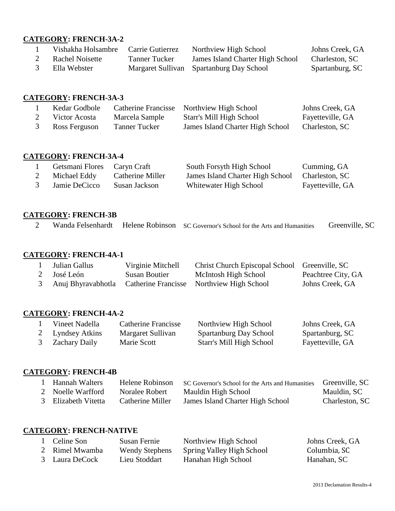# **CATEGORY: FRENCH-3A-2**

| Vishakha Holsambre | Carrie Gutierrez | Northview High School                    | Johns Creek, GA |
|--------------------|------------------|------------------------------------------|-----------------|
| Rachel Noisette    | Tanner Tucker    | James Island Charter High School         | Charleston, SC  |
| Ella Webster       |                  | Margaret Sullivan Spartanburg Day School | Spartanburg, SC |

# **CATEGORY: FRENCH-3A-3**

| Kedar Godbole | <b>Catherine Francisse</b> | Northview High School            | Johns Creek, GA  |
|---------------|----------------------------|----------------------------------|------------------|
| Victor Acosta | Marcela Sample             | Starr's Mill High School         | Fayetteville, GA |
| Ross Ferguson | <b>Tanner Tucker</b>       | James Island Charter High School | Charleston, SC   |

## **CATEGORY: FRENCH-3A-4**

| Getsmani Flores | Caryn Craft      | South Forsyth High School        | Cumming, GA      |
|-----------------|------------------|----------------------------------|------------------|
| Michael Eddy    | Catherine Miller | James Island Charter High School | Charleston, SC   |
| Jamie DeCicco   | Susan Jackson    | Whitewater High School           | Fayetteville, GA |

## **CATEGORY: FRENCH-3B**

|  |  |  | Wanda Felsenhardt Helene Robinson SC Governor's School for the Arts and Humanities | Greenville, SC |
|--|--|--|------------------------------------------------------------------------------------|----------------|
|--|--|--|------------------------------------------------------------------------------------|----------------|

# **CATEGORY: FRENCH-4A-1**

| Julian Gallus      | Virginie Mitchell | Christ Church Episcopal School Greenville, SC |                    |
|--------------------|-------------------|-----------------------------------------------|--------------------|
| 2 José León        | Susan Boutier     | McIntosh High School                          | Peachtree City, GA |
| Anuj Bhyravabhotla |                   | Catherine Francisse Northview High School     | Johns Creek, GA    |

# **CATEGORY: FRENCH-4A-2**

| Vineet Nadella       | Catherine Francisse | Northview High School    | Johns Creek, GA  |
|----------------------|---------------------|--------------------------|------------------|
| 2 Lyndsey Atkins     | Margaret Sullivan   | Spartanburg Day School   | Spartanburg, SC  |
| <b>Zachary Daily</b> | Marie Scott         | Starr's Mill High School | Fayetteville, GA |

## **CATEGORY: FRENCH-4B**

| 1 Hannah Walters    | Helene Robinson  | SC Governor's School for the Arts and Humanities | Greenville, SC |
|---------------------|------------------|--------------------------------------------------|----------------|
| 2 Noelle Warfford   | Noralee Robert   | Mauldin High School                              | Mauldin, SC    |
| 3 Elizabeth Vitetta | Catherine Miller | James Island Charter High School                 | Charleston, SC |

# **CATEGORY: FRENCH-NATIVE**

| 1 Celine Son   | Susan Fernie          | Northview High School     | Johns Creek, GA |
|----------------|-----------------------|---------------------------|-----------------|
| 2 Rimel Mwamba | <b>Wendy Stephens</b> | Spring Valley High School | Columbia, SC    |
| 3 Laura DeCock | Lieu Stoddart         | Hanahan High School       | Hanahan, SC     |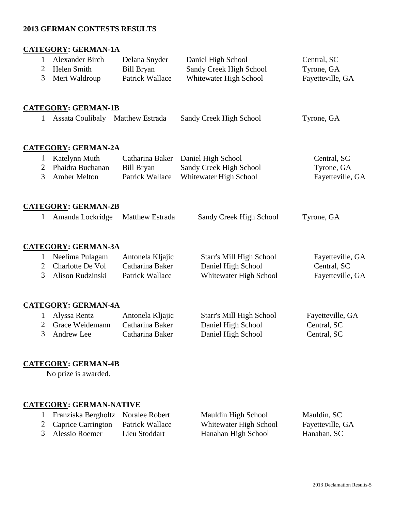## **2013 GERMAN CONTESTS RESULTS**

# **CATEGORY: GERMAN-1A**

| $\mathbf{1}$   | Alexander Birch                  | Delana Snyder          | Daniel High School       | Central, SC      |
|----------------|----------------------------------|------------------------|--------------------------|------------------|
| $\overline{2}$ | Helen Smith                      | <b>Bill Bryan</b>      | Sandy Creek High School  | Tyrone, GA       |
| 3              | Meri Waldroup                    | <b>Patrick Wallace</b> | Whitewater High School   | Fayetteville, GA |
|                |                                  |                        |                          |                  |
|                | <b>CATEGORY: GERMAN-1B</b>       |                        |                          |                  |
| 1              | Assata Coulibaly Matthew Estrada |                        | Sandy Creek High School  | Tyrone, GA       |
|                |                                  |                        |                          |                  |
|                | <b>CATEGORY: GERMAN-2A</b>       |                        |                          |                  |
| $\mathbf{1}$   | Katelynn Muth                    | Catharina Baker        | Daniel High School       | Central, SC      |
| $\overline{2}$ | Phaidra Buchanan                 | <b>Bill Bryan</b>      | Sandy Creek High School  | Tyrone, GA       |
| 3              | <b>Amber Melton</b>              | <b>Patrick Wallace</b> | Whitewater High School   | Fayetteville, GA |
|                |                                  |                        |                          |                  |
|                | <b>CATEGORY: GERMAN-2B</b>       |                        |                          |                  |
| 1              | Amanda Lockridge                 | Matthew Estrada        | Sandy Creek High School  | Tyrone, GA       |
|                |                                  |                        |                          |                  |
|                |                                  |                        |                          |                  |
|                | <b>CATEGORY: GERMAN-3A</b>       |                        |                          |                  |
| $\mathbf{1}$   | Neelima Pulagam                  | Antonela Kljajic       | Starr's Mill High School | Fayetteville, GA |
| $\overline{2}$ | Charlotte De Vol                 | Catharina Baker        | Daniel High School       | Central, SC      |
| 3              | Alison Rudzinski                 | <b>Patrick Wallace</b> | Whitewater High School   | Fayetteville, GA |
|                |                                  |                        |                          |                  |
|                | <b>CATEGORY: GERMAN-4A</b>       |                        |                          |                  |
| 1              | Alyssa Rentz                     | Antonela Kljajic       | Starr's Mill High School | Fayetteville, GA |
| $\overline{2}$ | Grace Weidemann                  | Catharina Baker        | Daniel High School       | Central, SC      |
| 3              | Andrew Lee                       | Catharina Baker        | Daniel High School       | Central, SC      |

## **CATEGORY: GERMAN-4B**

No prize is awarded.

## **CATEGORY: GERMAN-NATIVE**

- 
- 2 Caprice Carrington Patrick Wallace Whitewater High School Fayetteville, GA
- 3 Alessio Roemer Lieu Stoddart Hanahan High School Hanahan, SC

1 Franziska Bergholtz Noralee Robert Mauldin High School Mauldin, SC<br>2 Caprice Carrington Patrick Wallace Whitewater High School Fayetteville,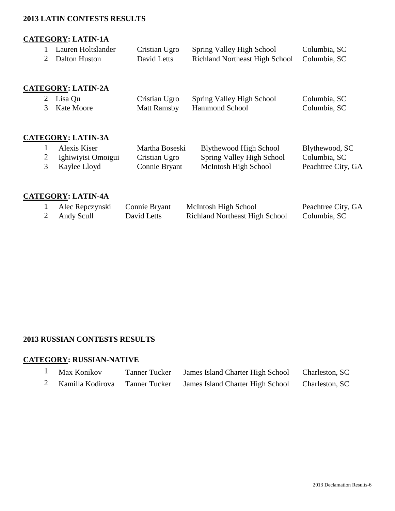## **2013 LATIN CONTESTS RESULTS**

## **CATEGORY: LATIN-1A**

| Lauren Holtslander | Cristian Ugro | <b>Spring Valley High School</b>            | Columbia, SC |
|--------------------|---------------|---------------------------------------------|--------------|
| 2 Dalton Huston    | David Letts   | Richland Northeast High School Columbia, SC |              |

## **CATEGORY: LATIN-2A**

| 2 Lisa Qu    | Cristian Ugro Spring Valley High School | Columbia, SC |
|--------------|-----------------------------------------|--------------|
| 3 Kate Moore | Matt Ramsby Hammond School              | Columbia, SC |

# **CATEGORY: LATIN-3A**

| Alexis Kiser       | Martha Boseski | Blythewood High School    | Blythewood, SC     |
|--------------------|----------------|---------------------------|--------------------|
| Ighiwiyisi Omoigui | Cristian Ugro  | Spring Valley High School | Columbia, SC       |
| Kaylee Lloyd       | Connie Bryant  | McIntosh High School      | Peachtree City, GA |

# **CATEGORY: LATIN-4A**

| Alec Repczynski | Connie Bryant | McIntosh High School                  | Peachtree City, GA |
|-----------------|---------------|---------------------------------------|--------------------|
| Andy Scull      | David Letts   | <b>Richland Northeast High School</b> | Columbia, SC       |

# **2013 RUSSIAN CONTESTS RESULTS**

# **CATEGORY: RUSSIAN-NATIVE**

| Max Konikov      | <b>Tanner Tucker</b> | James Island Charter High School | Charleston, SC |
|------------------|----------------------|----------------------------------|----------------|
| Kamilla Kodirova | <b>Tanner Tucker</b> | James Island Charter High School | Charleston, SC |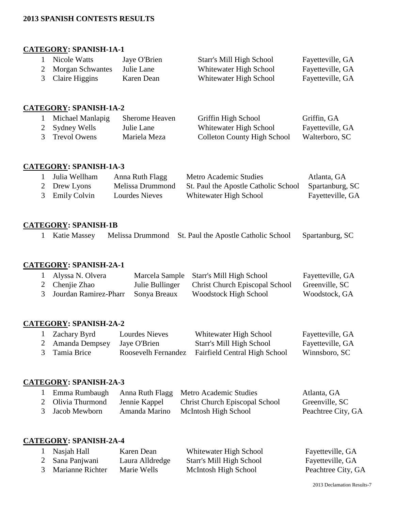## **2013 SPANISH CONTESTS RESULTS**

## **CATEGORY: SPANISH-1A-1**

| Nicole Watts       | Jaye O'Brien | <b>Starr's Mill High School</b> | Fayetteville, GA |
|--------------------|--------------|---------------------------------|------------------|
| 2 Morgan Schwantes | Julie Lane   | Whitewater High School          | Fayetteville, GA |
| 3 Claire Higgins   | Karen Dean   | Whitewater High School          | Fayetteville, GA |

## **CATEGORY: SPANISH-1A-2**

| Michael Manlapig | Sherome Heaven | Griffin High School         | Griffin, GA      |
|------------------|----------------|-----------------------------|------------------|
| 2 Sydney Wells   | Julie Lane     | Whitewater High School      | Fayetteville, GA |
| 3 Trevol Owens   | Mariela Meza   | Colleton County High School | Walterboro, SC   |

#### **CATEGORY: SPANISH-1A-3**

| Julia Wellham  | Anna Ruth Flagg  | Metro Academic Studies               | Atlanta, GA      |
|----------------|------------------|--------------------------------------|------------------|
| 2 Drew Lyons   | Melissa Drummond | St. Paul the Apostle Catholic School | Spartanburg, SC  |
| 3 Emily Colvin | Lourdes Nieves   | Whitewater High School               | Fayetteville, GA |

# **CATEGORY: SPANISH-1B**

|  | . Katie Massey |  | Melissa Drummond St. Paul the Apostle Catholic School Spartanburg, SC |  |  |
|--|----------------|--|-----------------------------------------------------------------------|--|--|
|--|----------------|--|-----------------------------------------------------------------------|--|--|

# **CATEGORY: SPANISH-2A-1**

| Alyssa N. Olvera                     | Marcela Sample Starr's Mill High School        | Fayetteville, GA |
|--------------------------------------|------------------------------------------------|------------------|
| 2 Chenjie Zhao                       | Julie Bullinger Christ Church Episcopal School | Greenville, SC   |
| 3 Jourdan Ramirez-Pharr Sonya Breaux | Woodstock High School                          | Woodstock, GA    |

# **CATEGORY: SPANISH-2A-2**

| Zachary Byrd     | Lourdes Nieves      | Whitewater High School               | Fayetteville, GA |
|------------------|---------------------|--------------------------------------|------------------|
| 2 Amanda Dempsey | Jaye O'Brien        | Starr's Mill High School             | Fayetteville, GA |
| 3 Tamia Brice    | Roosevelh Fernandez | <b>Fairfield Central High School</b> | Winnsboro, SC    |

#### **CATEGORY: SPANISH-2A-3**

|                   |               | Emma Rumbaugh Anna Ruth Flagg Metro Academic Studies | Atlanta, GA        |
|-------------------|---------------|------------------------------------------------------|--------------------|
| 2 Olivia Thurmond | Jennie Kappel | <b>Christ Church Episcopal School</b>                | Greenville, SC     |
| 3 Jacob Mewborn   | Amanda Marino | McIntosh High School                                 | Peachtree City, GA |

# **CATEGORY: SPANISH-2A-4**

|                | Nasjah Hall      | Karen Dean      | Whitewater High School   | Fayetteville, GA   |
|----------------|------------------|-----------------|--------------------------|--------------------|
|                | 2 Sana Panjwani  | Laura Alldredge | Starr's Mill High School | Fayetteville, GA   |
| $\mathfrak{Z}$ | Marianne Richter | Marie Wells     | McIntosh High School     | Peachtree City, GA |

2013 Declamation Results-7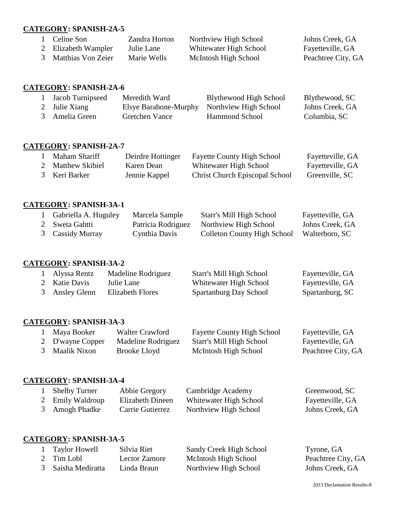## **CATEGORY: SPANISH-2A-5**

| Celine Son          | Zandra Horton | Northview High School  | Johns Creek, GA    |
|---------------------|---------------|------------------------|--------------------|
| 2 Elizabeth Wampler | Julie Lane    | Whitewater High School | Fayetteville, GA   |
| Matthias Von Zeier  | Marie Wells   | McIntosh High School   | Peachtree City, GA |

#### **CATEGORY: SPANISH-2A-6**

| Jacob Turnipseed | Meredith Ward                               | Blythewood High School | Blythewood, SC  |
|------------------|---------------------------------------------|------------------------|-----------------|
| 2 Julie Xiang    | Elsye Barahone-Murphy Northview High School |                        | Johns Creek, GA |
| 3 Amelia Green   | Gretchen Vance                              | <b>Hammond School</b>  | Columbia, SC    |

## **CATEGORY: SPANISH-2A-7**

| Maham Shariff   | Deirdre Hottinger | <b>Fayette County High School</b>     | Fayetteville, GA |
|-----------------|-------------------|---------------------------------------|------------------|
| Matthew Skibiel | Karen Dean        | Whitewater High School                | Fayetteville, GA |
| 3 Keri Barker   | Jennie Kappel     | <b>Christ Church Episcopal School</b> | Greenville, SC   |

#### **CATEGORY: SPANISH-3A-1**

| Gabriella A. Huguley | Marcela Sample     | Starr's Mill High School    | Fayetteville, GA |
|----------------------|--------------------|-----------------------------|------------------|
| 2 Sweta Gahtti       | Patricia Rodriguez | Northview High School       | Johns Creek, GA  |
| 3 Cassidy Murray     | Cynthia Davis      | Colleton County High School | Walterboro, SC   |

## **CATEGORY: SPANISH-3A-2**

| Alyssa Rentz   | Madeline Rodriguez | Starr's Mill High School | Fayetteville, GA |
|----------------|--------------------|--------------------------|------------------|
| 2 Katie Davis  | Julie Lane         | Whitewater High School   | Fayetteville, GA |
| 3 Ansley Glenn | Elizabeth Flores   | Spartanburg Day School   | Spartanburg, SC  |

# **CATEGORY: SPANISH-3A-3**

| Maya Booker      | Walter Crawford    | <b>Fayette County High School</b> | Fayetteville, GA   |
|------------------|--------------------|-----------------------------------|--------------------|
| 2 D'wayne Copper | Madeline Rodriguez | Starr's Mill High School          | Fayetteville, GA   |
| 3 Maalik Nixon   | Brooke Lloyd       | McIntosh High School              | Peachtree City, GA |

## **CATEGORY: SPANISH-3A-4**

| <b>Shelby Turner</b> | Abbie Gregory    | Cambridge Academy      | Greenwood, SC    |
|----------------------|------------------|------------------------|------------------|
| 2 Emily Waldroup     | Elizabeth Dineen | Whitewater High School | Fayetteville, GA |
| 3 Amogh Phadke       | Carrie Gutierrez | Northview High School  | Johns Creek, GA  |

# **CATEGORY: SPANISH-3A-5**

| <b>Taylor Howell</b> | Silvia Riet   | Sandy Creek High School | Tyrone, GA         |
|----------------------|---------------|-------------------------|--------------------|
| 2 Tim Lobl           | Lector Zamore | McIntosh High School    | Peachtree City, GA |
| 3 Saisha Mediratta   | Linda Braun   | Northview High School   | Johns Creek, GA    |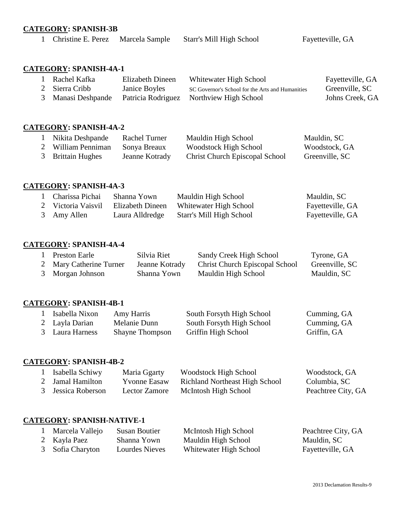## **CATEGORY: SPANISH-3B**

Christine E. Perez Marcela Sample Starr's Mill High School Fayetteville, GA

## **CATEGORY: SPANISH-4A-1**

| Rachel Kafka     | Elizabeth Dineen   | Whitewater High School                           | Fayetteville, GA |
|------------------|--------------------|--------------------------------------------------|------------------|
| 2 Sierra Cribb   | Janice Boyles      | SC Governor's School for the Arts and Humanities | Greenville, SC   |
| Manasi Deshpande | Patricia Rodriguez | Northview High School                            | Johns Creek, GA  |

#### **CATEGORY: SPANISH-4A-2**

| Nikita Deshpande  | Rachel Turner  | Mauldin High School                   | Mauldin, SC    |
|-------------------|----------------|---------------------------------------|----------------|
| William Penniman  | Sonya Breaux   | Woodstock High School                 | Woodstock, GA  |
| 3 Brittain Hughes | Jeanne Kotrady | <b>Christ Church Episcopal School</b> | Greenville, SC |

# **CATEGORY: SPANISH-4A-3**

| Charissa Pichai    | Shanna Yown      | Mauldin High School      | Mauldin, SC      |
|--------------------|------------------|--------------------------|------------------|
| 2 Victoria Vaisvil | Elizabeth Dineen | Whitewater High School   | Fayetteville, GA |
| 3 Amy Allen        | Laura Alldredge  | Starr's Mill High School | Fayetteville, GA |

## **CATEGORY: SPANISH-4A-4**

| Preston Earle           | Silvia Riet    | Sandy Creek High School               | Tyrone, GA     |
|-------------------------|----------------|---------------------------------------|----------------|
| 2 Mary Catherine Turner | Jeanne Kotrady | <b>Christ Church Episcopal School</b> | Greenville, SC |
| 3 Morgan Johnson        | Shanna Yown    | Mauldin High School                   | Mauldin, SC    |

# **CATEGORY: SPANISH-4B-1**

| Isabella Nixon  | Amy Harris             | South Forsyth High School | Cumming, GA |
|-----------------|------------------------|---------------------------|-------------|
| 2 Layla Darian  | Melanie Dunn           | South Forsyth High School | Cumming, GA |
| 3 Laura Harness | <b>Shayne Thompson</b> | Griffin High School       | Griffin, GA |

## **CATEGORY: SPANISH-4B-2**

| Isabella Schiwy    | Maria Ggarty         | <b>Woodstock High School</b>          | Woodstock, GA      |
|--------------------|----------------------|---------------------------------------|--------------------|
| 2 Jamal Hamilton   | <b>Y</b> vonne Easaw | <b>Richland Northeast High School</b> | Columbia, SC       |
| 3 Jessica Roberson | Lector Zamore        | McIntosh High School                  | Peachtree City, GA |

# **CATEGORY: SPANISH-NATIVE-1**

| Marcela Vallejo  | Susan Boutier  | McIntosh High School   | Peachtree City, GA |
|------------------|----------------|------------------------|--------------------|
| 2 Kayla Paez     | Shanna Yown    | Mauldin High School    | Mauldin, SC        |
| 3 Sofia Charyton | Lourdes Nieves | Whitewater High School | Fayetteville, GA   |